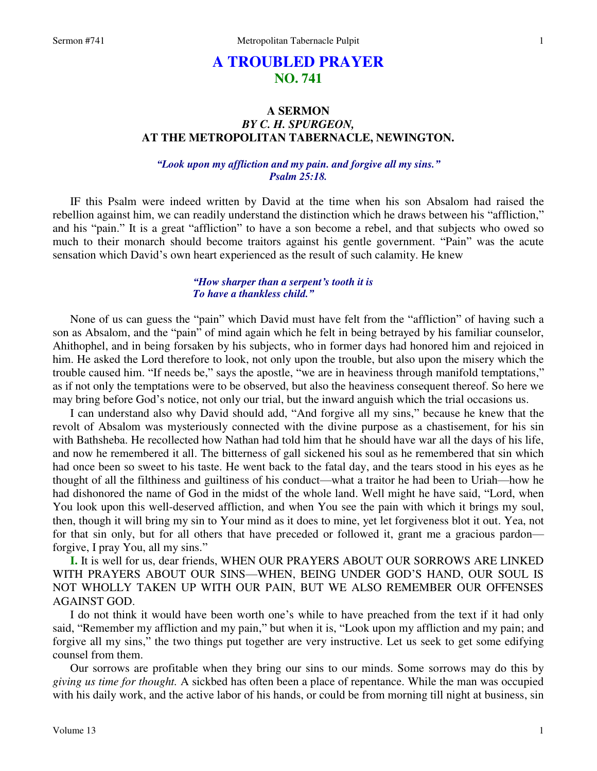# **A TROUBLED PRAYER NO. 741**

## **A SERMON**  *BY C. H. SPURGEON,*  **AT THE METROPOLITAN TABERNACLE, NEWINGTON.**

*"Look upon my affliction and my pain. and forgive all my sins." Psalm 25:18.* 

IF this Psalm were indeed written by David at the time when his son Absalom had raised the rebellion against him, we can readily understand the distinction which he draws between his "affliction," and his "pain." It is a great "affliction" to have a son become a rebel, and that subjects who owed so much to their monarch should become traitors against his gentle government. "Pain" was the acute sensation which David's own heart experienced as the result of such calamity. He knew

## *"How sharper than a serpent's tooth it is To have a thankless child."*

 None of us can guess the "pain" which David must have felt from the "affliction" of having such a son as Absalom, and the "pain" of mind again which he felt in being betrayed by his familiar counselor, Ahithophel, and in being forsaken by his subjects, who in former days had honored him and rejoiced in him. He asked the Lord therefore to look, not only upon the trouble, but also upon the misery which the trouble caused him. "If needs be," says the apostle, "we are in heaviness through manifold temptations," as if not only the temptations were to be observed, but also the heaviness consequent thereof. So here we may bring before God's notice, not only our trial, but the inward anguish which the trial occasions us.

 I can understand also why David should add, "And forgive all my sins," because he knew that the revolt of Absalom was mysteriously connected with the divine purpose as a chastisement, for his sin with Bathsheba. He recollected how Nathan had told him that he should have war all the days of his life, and now he remembered it all. The bitterness of gall sickened his soul as he remembered that sin which had once been so sweet to his taste. He went back to the fatal day, and the tears stood in his eyes as he thought of all the filthiness and guiltiness of his conduct—what a traitor he had been to Uriah—how he had dishonored the name of God in the midst of the whole land. Well might he have said, "Lord, when You look upon this well-deserved affliction, and when You see the pain with which it brings my soul, then, though it will bring my sin to Your mind as it does to mine, yet let forgiveness blot it out. Yea, not for that sin only, but for all others that have preceded or followed it, grant me a gracious pardon forgive, I pray You, all my sins."

**I.** It is well for us, dear friends, WHEN OUR PRAYERS ABOUT OUR SORROWS ARE LINKED WITH PRAYERS ABOUT OUR SINS—WHEN, BEING UNDER GOD'S HAND, OUR SOUL IS NOT WHOLLY TAKEN UP WITH OUR PAIN, BUT WE ALSO REMEMBER OUR OFFENSES AGAINST GOD.

 I do not think it would have been worth one's while to have preached from the text if it had only said, "Remember my affliction and my pain," but when it is, "Look upon my affliction and my pain; and forgive all my sins," the two things put together are very instructive. Let us seek to get some edifying counsel from them.

 Our sorrows are profitable when they bring our sins to our minds. Some sorrows may do this by *giving us time for thought.* A sickbed has often been a place of repentance. While the man was occupied with his daily work, and the active labor of his hands, or could be from morning till night at business, sin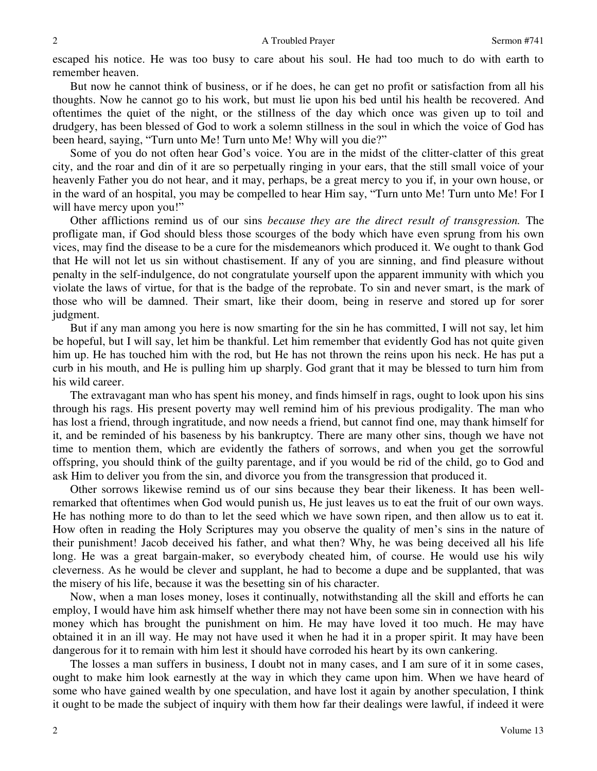escaped his notice. He was too busy to care about his soul. He had too much to do with earth to remember heaven.

 But now he cannot think of business, or if he does, he can get no profit or satisfaction from all his thoughts. Now he cannot go to his work, but must lie upon his bed until his health be recovered. And oftentimes the quiet of the night, or the stillness of the day which once was given up to toil and drudgery, has been blessed of God to work a solemn stillness in the soul in which the voice of God has been heard, saying, "Turn unto Me! Turn unto Me! Why will you die?"

 Some of you do not often hear God's voice. You are in the midst of the clitter-clatter of this great city, and the roar and din of it are so perpetually ringing in your ears, that the still small voice of your heavenly Father you do not hear, and it may, perhaps, be a great mercy to you if, in your own house, or in the ward of an hospital, you may be compelled to hear Him say, "Turn unto Me! Turn unto Me! For I will have mercy upon you!"

 Other afflictions remind us of our sins *because they are the direct result of transgression.* The profligate man, if God should bless those scourges of the body which have even sprung from his own vices, may find the disease to be a cure for the misdemeanors which produced it. We ought to thank God that He will not let us sin without chastisement. If any of you are sinning, and find pleasure without penalty in the self-indulgence, do not congratulate yourself upon the apparent immunity with which you violate the laws of virtue, for that is the badge of the reprobate. To sin and never smart, is the mark of those who will be damned. Their smart, like their doom, being in reserve and stored up for sorer judgment.

 But if any man among you here is now smarting for the sin he has committed, I will not say, let him be hopeful, but I will say, let him be thankful. Let him remember that evidently God has not quite given him up. He has touched him with the rod, but He has not thrown the reins upon his neck. He has put a curb in his mouth, and He is pulling him up sharply. God grant that it may be blessed to turn him from his wild career.

 The extravagant man who has spent his money, and finds himself in rags, ought to look upon his sins through his rags. His present poverty may well remind him of his previous prodigality. The man who has lost a friend, through ingratitude, and now needs a friend, but cannot find one, may thank himself for it, and be reminded of his baseness by his bankruptcy. There are many other sins, though we have not time to mention them, which are evidently the fathers of sorrows, and when you get the sorrowful offspring, you should think of the guilty parentage, and if you would be rid of the child, go to God and ask Him to deliver you from the sin, and divorce you from the transgression that produced it.

 Other sorrows likewise remind us of our sins because they bear their likeness. It has been wellremarked that oftentimes when God would punish us, He just leaves us to eat the fruit of our own ways. He has nothing more to do than to let the seed which we have sown ripen, and then allow us to eat it. How often in reading the Holy Scriptures may you observe the quality of men's sins in the nature of their punishment! Jacob deceived his father, and what then? Why, he was being deceived all his life long. He was a great bargain-maker, so everybody cheated him, of course. He would use his wily cleverness. As he would be clever and supplant, he had to become a dupe and be supplanted, that was the misery of his life, because it was the besetting sin of his character.

 Now, when a man loses money, loses it continually, notwithstanding all the skill and efforts he can employ, I would have him ask himself whether there may not have been some sin in connection with his money which has brought the punishment on him. He may have loved it too much. He may have obtained it in an ill way. He may not have used it when he had it in a proper spirit. It may have been dangerous for it to remain with him lest it should have corroded his heart by its own cankering.

 The losses a man suffers in business, I doubt not in many cases, and I am sure of it in some cases, ought to make him look earnestly at the way in which they came upon him. When we have heard of some who have gained wealth by one speculation, and have lost it again by another speculation, I think it ought to be made the subject of inquiry with them how far their dealings were lawful, if indeed it were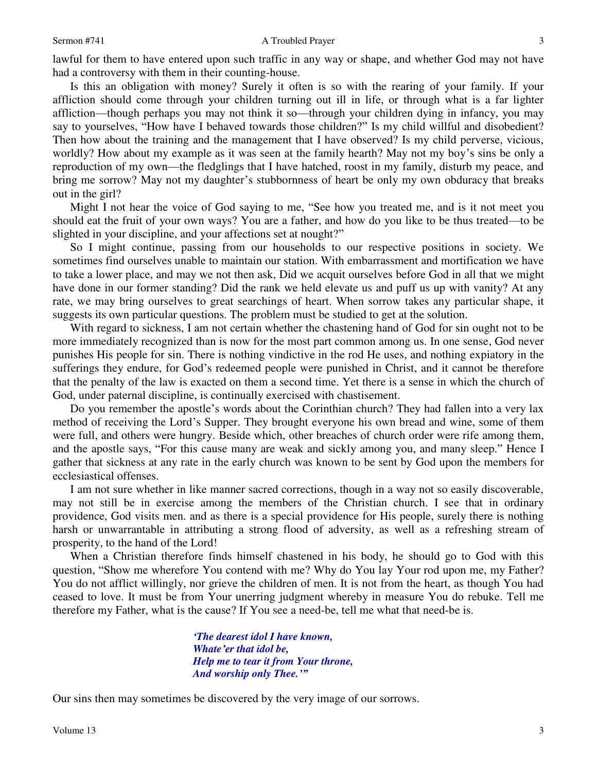#### Sermon #741 A Troubled Prayer

lawful for them to have entered upon such traffic in any way or shape, and whether God may not have had a controversy with them in their counting-house.

 Is this an obligation with money? Surely it often is so with the rearing of your family. If your affliction should come through your children turning out ill in life, or through what is a far lighter affliction—though perhaps you may not think it so—through your children dying in infancy, you may say to yourselves, "How have I behaved towards those children?" Is my child willful and disobedient? Then how about the training and the management that I have observed? Is my child perverse, vicious, worldly? How about my example as it was seen at the family hearth? May not my boy's sins be only a reproduction of my own—the fledglings that I have hatched, roost in my family, disturb my peace, and bring me sorrow? May not my daughter's stubbornness of heart be only my own obduracy that breaks out in the girl?

 Might I not hear the voice of God saying to me, "See how you treated me, and is it not meet you should eat the fruit of your own ways? You are a father, and how do you like to be thus treated—to be slighted in your discipline, and your affections set at nought?"

 So I might continue, passing from our households to our respective positions in society. We sometimes find ourselves unable to maintain our station. With embarrassment and mortification we have to take a lower place, and may we not then ask, Did we acquit ourselves before God in all that we might have done in our former standing? Did the rank we held elevate us and puff us up with vanity? At any rate, we may bring ourselves to great searchings of heart. When sorrow takes any particular shape, it suggests its own particular questions. The problem must be studied to get at the solution.

 With regard to sickness, I am not certain whether the chastening hand of God for sin ought not to be more immediately recognized than is now for the most part common among us. In one sense, God never punishes His people for sin. There is nothing vindictive in the rod He uses, and nothing expiatory in the sufferings they endure, for God's redeemed people were punished in Christ, and it cannot be therefore that the penalty of the law is exacted on them a second time. Yet there is a sense in which the church of God, under paternal discipline, is continually exercised with chastisement.

 Do you remember the apostle's words about the Corinthian church? They had fallen into a very lax method of receiving the Lord's Supper. They brought everyone his own bread and wine, some of them were full, and others were hungry. Beside which, other breaches of church order were rife among them, and the apostle says, "For this cause many are weak and sickly among you, and many sleep." Hence I gather that sickness at any rate in the early church was known to be sent by God upon the members for ecclesiastical offenses.

 I am not sure whether in like manner sacred corrections, though in a way not so easily discoverable, may not still be in exercise among the members of the Christian church. I see that in ordinary providence, God visits men. and as there is a special providence for His people, surely there is nothing harsh or unwarrantable in attributing a strong flood of adversity, as well as a refreshing stream of prosperity, to the hand of the Lord!

 When a Christian therefore finds himself chastened in his body, he should go to God with this question, "Show me wherefore You contend with me? Why do You lay Your rod upon me, my Father? You do not afflict willingly, nor grieve the children of men. It is not from the heart, as though You had ceased to love. It must be from Your unerring judgment whereby in measure You do rebuke. Tell me therefore my Father, what is the cause? If You see a need-be, tell me what that need-be is.

> *'The dearest idol I have known, Whate'er that idol be, Help me to tear it from Your throne, And worship only Thee.'"*

Our sins then may sometimes be discovered by the very image of our sorrows.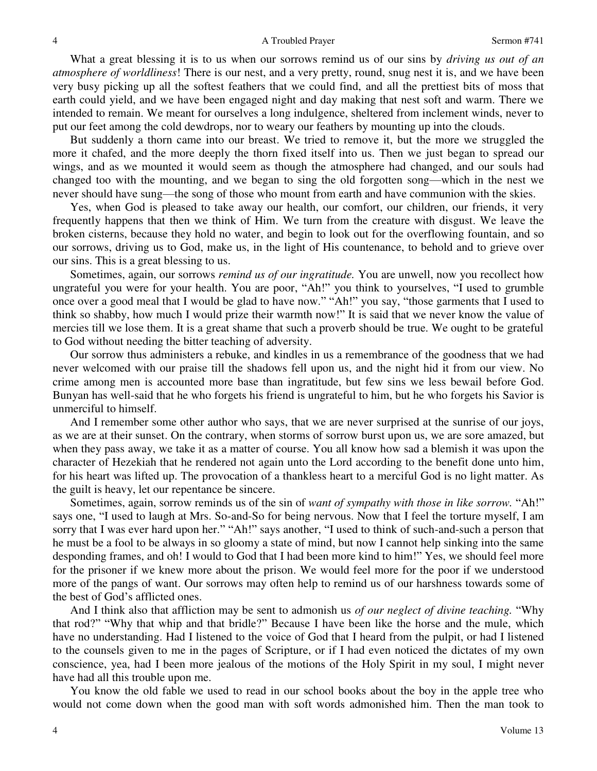What a great blessing it is to us when our sorrows remind us of our sins by *driving us out of an atmosphere of worldliness*! There is our nest, and a very pretty, round, snug nest it is, and we have been very busy picking up all the softest feathers that we could find, and all the prettiest bits of moss that earth could yield, and we have been engaged night and day making that nest soft and warm. There we intended to remain. We meant for ourselves a long indulgence, sheltered from inclement winds, never to put our feet among the cold dewdrops, nor to weary our feathers by mounting up into the clouds.

 But suddenly a thorn came into our breast. We tried to remove it, but the more we struggled the more it chafed, and the more deeply the thorn fixed itself into us. Then we just began to spread our wings, and as we mounted it would seem as though the atmosphere had changed, and our souls had changed too with the mounting, and we began to sing the old forgotten song—which in the nest we never should have sung—the song of those who mount from earth and have communion with the skies.

 Yes, when God is pleased to take away our health, our comfort, our children, our friends, it very frequently happens that then we think of Him. We turn from the creature with disgust. We leave the broken cisterns, because they hold no water, and begin to look out for the overflowing fountain, and so our sorrows, driving us to God, make us, in the light of His countenance, to behold and to grieve over our sins. This is a great blessing to us.

 Sometimes, again, our sorrows *remind us of our ingratitude.* You are unwell, now you recollect how ungrateful you were for your health. You are poor, "Ah!" you think to yourselves, "I used to grumble once over a good meal that I would be glad to have now." "Ah!" you say, "those garments that I used to think so shabby, how much I would prize their warmth now!" It is said that we never know the value of mercies till we lose them. It is a great shame that such a proverb should be true. We ought to be grateful to God without needing the bitter teaching of adversity.

 Our sorrow thus administers a rebuke, and kindles in us a remembrance of the goodness that we had never welcomed with our praise till the shadows fell upon us, and the night hid it from our view. No crime among men is accounted more base than ingratitude, but few sins we less bewail before God. Bunyan has well-said that he who forgets his friend is ungrateful to him, but he who forgets his Savior is unmerciful to himself.

 And I remember some other author who says, that we are never surprised at the sunrise of our joys, as we are at their sunset. On the contrary, when storms of sorrow burst upon us, we are sore amazed, but when they pass away, we take it as a matter of course. You all know how sad a blemish it was upon the character of Hezekiah that he rendered not again unto the Lord according to the benefit done unto him, for his heart was lifted up. The provocation of a thankless heart to a merciful God is no light matter. As the guilt is heavy, let our repentance be sincere.

 Sometimes, again, sorrow reminds us of the sin of *want of sympathy with those in like sorrow.* "Ah!" says one, "I used to laugh at Mrs. So-and-So for being nervous. Now that I feel the torture myself, I am sorry that I was ever hard upon her." "Ah!" says another, "I used to think of such-and-such a person that he must be a fool to be always in so gloomy a state of mind, but now I cannot help sinking into the same desponding frames, and oh! I would to God that I had been more kind to him!" Yes, we should feel more for the prisoner if we knew more about the prison. We would feel more for the poor if we understood more of the pangs of want. Our sorrows may often help to remind us of our harshness towards some of the best of God's afflicted ones.

 And I think also that affliction may be sent to admonish us *of our neglect of divine teaching.* "Why that rod?" "Why that whip and that bridle?" Because I have been like the horse and the mule, which have no understanding. Had I listened to the voice of God that I heard from the pulpit, or had I listened to the counsels given to me in the pages of Scripture, or if I had even noticed the dictates of my own conscience, yea, had I been more jealous of the motions of the Holy Spirit in my soul, I might never have had all this trouble upon me.

 You know the old fable we used to read in our school books about the boy in the apple tree who would not come down when the good man with soft words admonished him. Then the man took to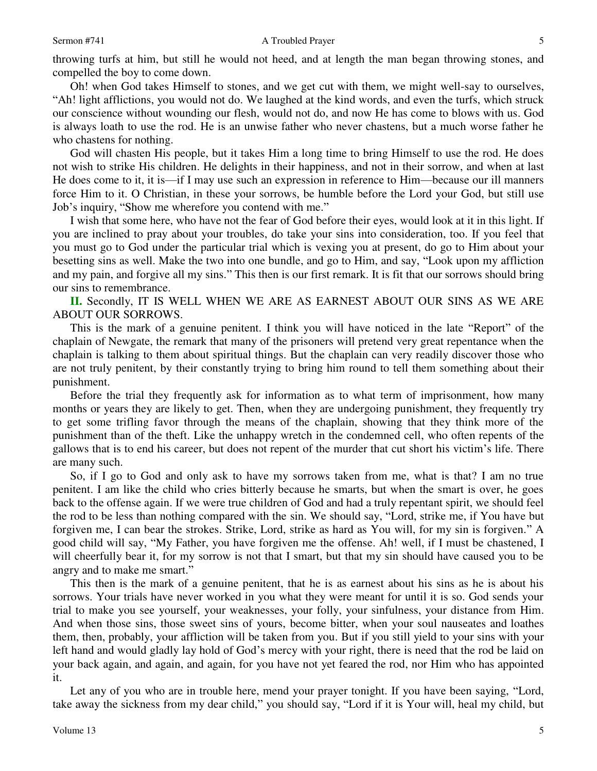### Sermon #741 A Troubled Prayer

throwing turfs at him, but still he would not heed, and at length the man began throwing stones, and compelled the boy to come down.

 Oh! when God takes Himself to stones, and we get cut with them, we might well-say to ourselves, "Ah! light afflictions, you would not do. We laughed at the kind words, and even the turfs, which struck our conscience without wounding our flesh, would not do, and now He has come to blows with us. God is always loath to use the rod. He is an unwise father who never chastens, but a much worse father he who chastens for nothing.

 God will chasten His people, but it takes Him a long time to bring Himself to use the rod. He does not wish to strike His children. He delights in their happiness, and not in their sorrow, and when at last He does come to it, it is—if I may use such an expression in reference to Him—because our ill manners force Him to it. O Christian, in these your sorrows, be humble before the Lord your God, but still use Job's inquiry, "Show me wherefore you contend with me."

 I wish that some here, who have not the fear of God before their eyes, would look at it in this light. If you are inclined to pray about your troubles, do take your sins into consideration, too. If you feel that you must go to God under the particular trial which is vexing you at present, do go to Him about your besetting sins as well. Make the two into one bundle, and go to Him, and say, "Look upon my affliction and my pain, and forgive all my sins." This then is our first remark. It is fit that our sorrows should bring our sins to remembrance.

**II.** Secondly, IT IS WELL WHEN WE ARE AS EARNEST ABOUT OUR SINS AS WE ARE ABOUT OUR SORROWS.

 This is the mark of a genuine penitent. I think you will have noticed in the late "Report" of the chaplain of Newgate, the remark that many of the prisoners will pretend very great repentance when the chaplain is talking to them about spiritual things. But the chaplain can very readily discover those who are not truly penitent, by their constantly trying to bring him round to tell them something about their punishment.

 Before the trial they frequently ask for information as to what term of imprisonment, how many months or years they are likely to get. Then, when they are undergoing punishment, they frequently try to get some trifling favor through the means of the chaplain, showing that they think more of the punishment than of the theft. Like the unhappy wretch in the condemned cell, who often repents of the gallows that is to end his career, but does not repent of the murder that cut short his victim's life. There are many such.

 So, if I go to God and only ask to have my sorrows taken from me, what is that? I am no true penitent. I am like the child who cries bitterly because he smarts, but when the smart is over, he goes back to the offense again. If we were true children of God and had a truly repentant spirit, we should feel the rod to be less than nothing compared with the sin. We should say, "Lord, strike me, if You have but forgiven me, I can bear the strokes. Strike, Lord, strike as hard as You will, for my sin is forgiven." A good child will say, "My Father, you have forgiven me the offense. Ah! well, if I must be chastened, I will cheerfully bear it, for my sorrow is not that I smart, but that my sin should have caused you to be angry and to make me smart."

 This then is the mark of a genuine penitent, that he is as earnest about his sins as he is about his sorrows. Your trials have never worked in you what they were meant for until it is so. God sends your trial to make you see yourself, your weaknesses, your folly, your sinfulness, your distance from Him. And when those sins, those sweet sins of yours, become bitter, when your soul nauseates and loathes them, then, probably, your affliction will be taken from you. But if you still yield to your sins with your left hand and would gladly lay hold of God's mercy with your right, there is need that the rod be laid on your back again, and again, and again, for you have not yet feared the rod, nor Him who has appointed it.

 Let any of you who are in trouble here, mend your prayer tonight. If you have been saying, "Lord, take away the sickness from my dear child," you should say, "Lord if it is Your will, heal my child, but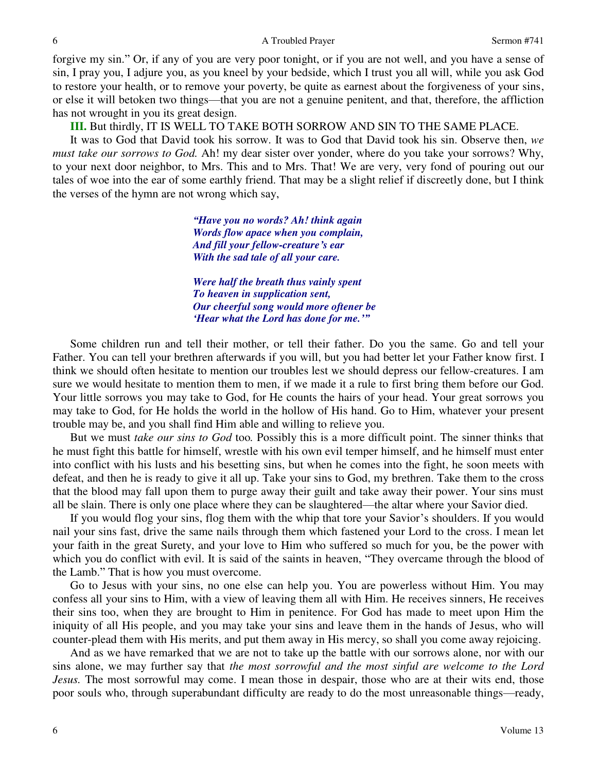#### A Troubled Prayer Sermon #741

forgive my sin." Or, if any of you are very poor tonight, or if you are not well, and you have a sense of sin, I pray you, I adjure you, as you kneel by your bedside, which I trust you all will, while you ask God to restore your health, or to remove your poverty, be quite as earnest about the forgiveness of your sins, or else it will betoken two things—that you are not a genuine penitent, and that, therefore, the affliction has not wrought in you its great design.

**III.** But thirdly, IT IS WELL TO TAKE BOTH SORROW AND SIN TO THE SAME PLACE.

 It was to God that David took his sorrow. It was to God that David took his sin. Observe then, *we must take our sorrows to God.* Ah! my dear sister over yonder, where do you take your sorrows? Why, to your next door neighbor, to Mrs. This and to Mrs. That! We are very, very fond of pouring out our tales of woe into the ear of some earthly friend. That may be a slight relief if discreetly done, but I think the verses of the hymn are not wrong which say,

> *"Have you no words? Ah! think again Words flow apace when you complain, And fill your fellow-creature's ear With the sad tale of all your care.*

*Were half the breath thus vainly spent To heaven in supplication sent, Our cheerful song would more oftener be 'Hear what the Lord has done for me.'"*

 Some children run and tell their mother, or tell their father. Do you the same. Go and tell your Father. You can tell your brethren afterwards if you will, but you had better let your Father know first. I think we should often hesitate to mention our troubles lest we should depress our fellow-creatures. I am sure we would hesitate to mention them to men, if we made it a rule to first bring them before our God. Your little sorrows you may take to God, for He counts the hairs of your head. Your great sorrows you may take to God, for He holds the world in the hollow of His hand. Go to Him, whatever your present trouble may be, and you shall find Him able and willing to relieve you.

 But we must *take our sins to God* too*.* Possibly this is a more difficult point. The sinner thinks that he must fight this battle for himself, wrestle with his own evil temper himself, and he himself must enter into conflict with his lusts and his besetting sins, but when he comes into the fight, he soon meets with defeat, and then he is ready to give it all up. Take your sins to God, my brethren. Take them to the cross that the blood may fall upon them to purge away their guilt and take away their power. Your sins must all be slain. There is only one place where they can be slaughtered—the altar where your Savior died.

 If you would flog your sins, flog them with the whip that tore your Savior's shoulders. If you would nail your sins fast, drive the same nails through them which fastened your Lord to the cross. I mean let your faith in the great Surety, and your love to Him who suffered so much for you, be the power with which you do conflict with evil. It is said of the saints in heaven, "They overcame through the blood of the Lamb." That is how you must overcome.

 Go to Jesus with your sins, no one else can help you. You are powerless without Him. You may confess all your sins to Him, with a view of leaving them all with Him. He receives sinners, He receives their sins too, when they are brought to Him in penitence. For God has made to meet upon Him the iniquity of all His people, and you may take your sins and leave them in the hands of Jesus, who will counter-plead them with His merits, and put them away in His mercy, so shall you come away rejoicing.

 And as we have remarked that we are not to take up the battle with our sorrows alone, nor with our sins alone, we may further say that *the most sorrowful and the most sinful are welcome to the Lord Jesus.* The most sorrowful may come. I mean those in despair, those who are at their wits end, those poor souls who, through superabundant difficulty are ready to do the most unreasonable things—ready,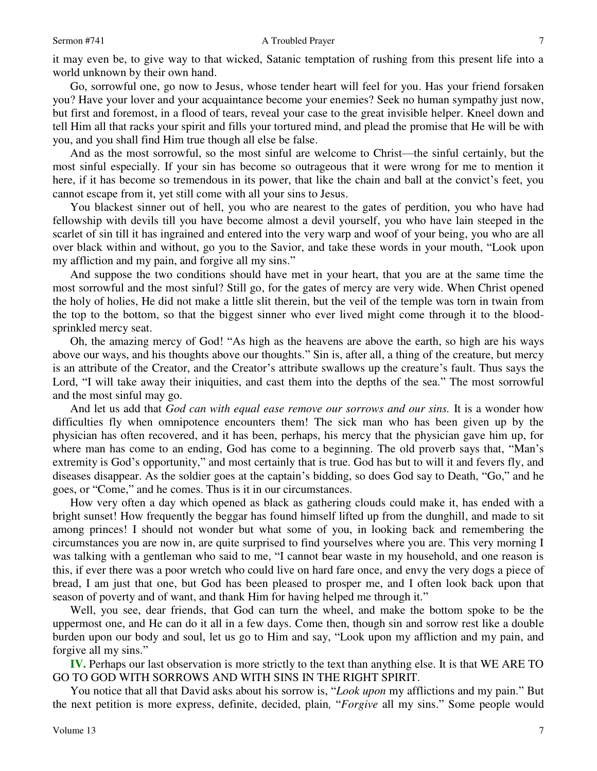#### Sermon #741 A Troubled Prayer

it may even be, to give way to that wicked, Satanic temptation of rushing from this present life into a world unknown by their own hand.

 Go, sorrowful one, go now to Jesus, whose tender heart will feel for you. Has your friend forsaken you? Have your lover and your acquaintance become your enemies? Seek no human sympathy just now, but first and foremost, in a flood of tears, reveal your case to the great invisible helper. Kneel down and tell Him all that racks your spirit and fills your tortured mind, and plead the promise that He will be with you, and you shall find Him true though all else be false.

 And as the most sorrowful, so the most sinful are welcome to Christ—the sinful certainly, but the most sinful especially. If your sin has become so outrageous that it were wrong for me to mention it here, if it has become so tremendous in its power, that like the chain and ball at the convict's feet, you cannot escape from it, yet still come with all your sins to Jesus.

 You blackest sinner out of hell, you who are nearest to the gates of perdition, you who have had fellowship with devils till you have become almost a devil yourself, you who have lain steeped in the scarlet of sin till it has ingrained and entered into the very warp and woof of your being, you who are all over black within and without, go you to the Savior, and take these words in your mouth, "Look upon my affliction and my pain, and forgive all my sins."

 And suppose the two conditions should have met in your heart, that you are at the same time the most sorrowful and the most sinful? Still go, for the gates of mercy are very wide. When Christ opened the holy of holies, He did not make a little slit therein, but the veil of the temple was torn in twain from the top to the bottom, so that the biggest sinner who ever lived might come through it to the bloodsprinkled mercy seat.

 Oh, the amazing mercy of God! "As high as the heavens are above the earth, so high are his ways above our ways, and his thoughts above our thoughts." Sin is, after all, a thing of the creature, but mercy is an attribute of the Creator, and the Creator's attribute swallows up the creature's fault. Thus says the Lord, "I will take away their iniquities, and cast them into the depths of the sea." The most sorrowful and the most sinful may go.

 And let us add that *God can with equal ease remove our sorrows and our sins.* It is a wonder how difficulties fly when omnipotence encounters them! The sick man who has been given up by the physician has often recovered, and it has been, perhaps, his mercy that the physician gave him up, for where man has come to an ending, God has come to a beginning. The old proverb says that, "Man's extremity is God's opportunity," and most certainly that is true. God has but to will it and fevers fly, and diseases disappear. As the soldier goes at the captain's bidding, so does God say to Death, "Go," and he goes, or "Come," and he comes. Thus is it in our circumstances.

 How very often a day which opened as black as gathering clouds could make it, has ended with a bright sunset! How frequently the beggar has found himself lifted up from the dunghill, and made to sit among princes! I should not wonder but what some of you, in looking back and remembering the circumstances you are now in, are quite surprised to find yourselves where you are. This very morning I was talking with a gentleman who said to me, "I cannot bear waste in my household, and one reason is this, if ever there was a poor wretch who could live on hard fare once, and envy the very dogs a piece of bread, I am just that one, but God has been pleased to prosper me, and I often look back upon that season of poverty and of want, and thank Him for having helped me through it."

 Well, you see, dear friends, that God can turn the wheel, and make the bottom spoke to be the uppermost one, and He can do it all in a few days. Come then, though sin and sorrow rest like a double burden upon our body and soul, let us go to Him and say, "Look upon my affliction and my pain, and forgive all my sins."

**IV.** Perhaps our last observation is more strictly to the text than anything else. It is that WE ARE TO GO TO GOD WITH SORROWS AND WITH SINS IN THE RIGHT SPIRIT.

 You notice that all that David asks about his sorrow is, "*Look upon* my afflictions and my pain." But the next petition is more express, definite, decided, plain*,* "*Forgive* all my sins." Some people would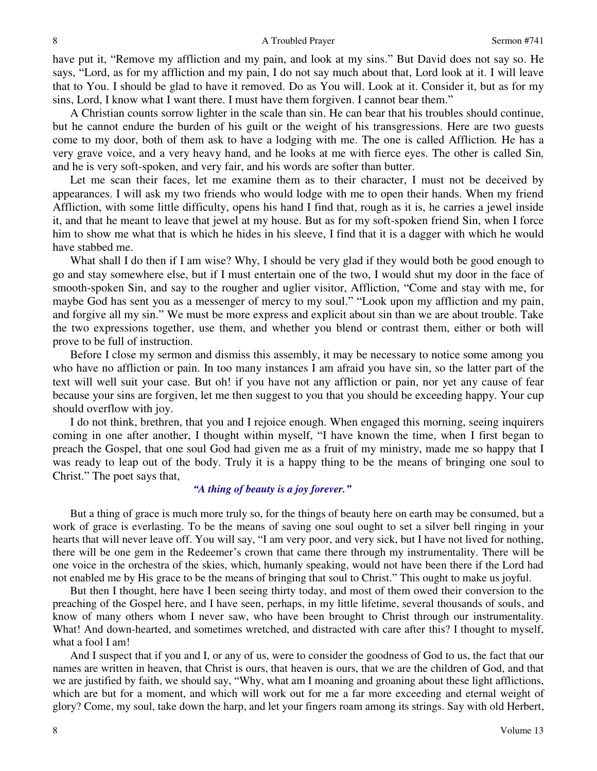have put it, "Remove my affliction and my pain, and look at my sins." But David does not say so. He says, "Lord, as for my affliction and my pain, I do not say much about that, Lord look at it. I will leave that to You. I should be glad to have it removed. Do as You will. Look at it. Consider it, but as for my sins, Lord, I know what I want there. I must have them forgiven. I cannot bear them."

 A Christian counts sorrow lighter in the scale than sin. He can bear that his troubles should continue, but he cannot endure the burden of his guilt or the weight of his transgressions. Here are two guests come to my door, both of them ask to have a lodging with me. The one is called Affliction*.* He has a very grave voice, and a very heavy hand, and he looks at me with fierce eyes. The other is called Sin*,* and he is very soft-spoken, and very fair, and his words are softer than butter.

 Let me scan their faces, let me examine them as to their character, I must not be deceived by appearances. I will ask my two friends who would lodge with me to open their hands. When my friend Affliction, with some little difficulty, opens his hand I find that, rough as it is, he carries a jewel inside it, and that he meant to leave that jewel at my house. But as for my soft-spoken friend Sin, when I force him to show me what that is which he hides in his sleeve, I find that it is a dagger with which he would have stabbed me.

What shall I do then if I am wise? Why, I should be very glad if they would both be good enough to go and stay somewhere else, but if I must entertain one of the two, I would shut my door in the face of smooth-spoken Sin, and say to the rougher and uglier visitor, Affliction, "Come and stay with me, for maybe God has sent you as a messenger of mercy to my soul." "Look upon my affliction and my pain, and forgive all my sin." We must be more express and explicit about sin than we are about trouble. Take the two expressions together, use them, and whether you blend or contrast them, either or both will prove to be full of instruction.

 Before I close my sermon and dismiss this assembly, it may be necessary to notice some among you who have no affliction or pain. In too many instances I am afraid you have sin, so the latter part of the text will well suit your case. But oh! if you have not any affliction or pain, nor yet any cause of fear because your sins are forgiven, let me then suggest to you that you should be exceeding happy. Your cup should overflow with joy.

 I do not think, brethren, that you and I rejoice enough. When engaged this morning, seeing inquirers coming in one after another, I thought within myself, "I have known the time, when I first began to preach the Gospel, that one soul God had given me as a fruit of my ministry, made me so happy that I was ready to leap out of the body. Truly it is a happy thing to be the means of bringing one soul to Christ." The poet says that,

## *"A thing of beauty is a joy forever."*

 But a thing of grace is much more truly so, for the things of beauty here on earth may be consumed, but a work of grace is everlasting. To be the means of saving one soul ought to set a silver bell ringing in your hearts that will never leave off. You will say, "I am very poor, and very sick, but I have not lived for nothing, there will be one gem in the Redeemer's crown that came there through my instrumentality. There will be one voice in the orchestra of the skies, which, humanly speaking, would not have been there if the Lord had not enabled me by His grace to be the means of bringing that soul to Christ." This ought to make us joyful.

 But then I thought, here have I been seeing thirty today, and most of them owed their conversion to the preaching of the Gospel here, and I have seen, perhaps, in my little lifetime, several thousands of souls, and know of many others whom I never saw, who have been brought to Christ through our instrumentality. What! And down-hearted, and sometimes wretched, and distracted with care after this? I thought to myself, what a fool I am!

 And I suspect that if you and I, or any of us, were to consider the goodness of God to us, the fact that our names are written in heaven, that Christ is ours, that heaven is ours, that we are the children of God, and that we are justified by faith, we should say, "Why, what am I moaning and groaning about these light afflictions, which are but for a moment, and which will work out for me a far more exceeding and eternal weight of glory? Come, my soul, take down the harp, and let your fingers roam among its strings. Say with old Herbert,